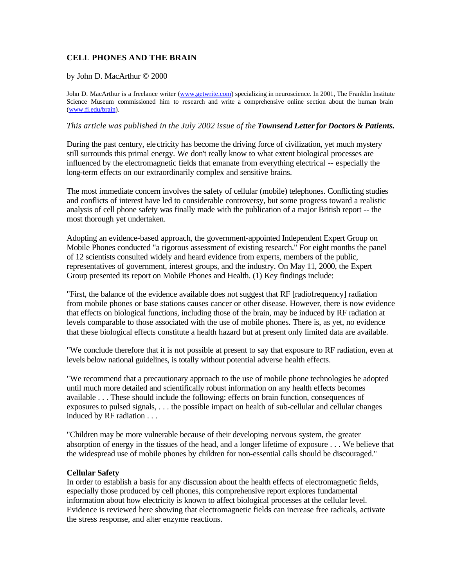# **CELL PHONES AND THE BRAIN**

#### by John D. MacArthur © 2000

John D. MacArthur is a freelance writer (www.getwrite.com) specializing in neuroscience. In 2001, The Franklin Institute Science Museum commissioned him to research and write a comprehensive online section about the human brain (www.fi.edu/brain).

#### *This article was published in the July 2002 issue of the Townsend Letter for Doctors & Patients.*

During the past century, ele ctricity has become the driving force of civilization, yet much mystery still surrounds this primal energy. We don't really know to what extent biological processes are influenced by the electromagnetic fields that emanate from everything electrical -- especially the long-term effects on our extraordinarily complex and sensitive brains.

The most immediate concern involves the safety of cellular (mobile) telephones. Conflicting studies and conflicts of interest have led to considerable controversy, but some progress toward a realistic analysis of cell phone safety was finally made with the publication of a major British report -- the most thorough yet undertaken.

Adopting an evidence-based approach, the government-appointed Independent Expert Group on Mobile Phones conducted "a rigorous assessment of existing research." For eight months the panel of 12 scientists consulted widely and heard evidence from experts, members of the public, representatives of government, interest groups, and the industry. On May 11, 2000, the Expert Group presented its report on Mobile Phones and Health. (1) Key findings include:

"First, the balance of the evidence available does not suggest that RF [radiofrequency] radiation from mobile phones or base stations causes cancer or other disease. However, there is now evidence that effects on biological functions, including those of the brain, may be induced by RF radiation at levels comparable to those associated with the use of mobile phones. There is, as yet, no evidence that these biological effects constitute a health hazard but at present only limited data are available.

"We conclude therefore that it is not possible at present to say that exposure to RF radiation, even at levels below national guidelines, is totally without potential adverse health effects.

"We recommend that a precautionary approach to the use of mobile phone technologies be adopted until much more detailed and scientifically robust information on any health effects becomes available . . . These should include the following: effects on brain function, consequences of exposures to pulsed signals, . . . the possible impact on health of sub-cellular and cellular changes induced by RF radiation . . .

"Children may be more vulnerable because of their developing nervous system, the greater absorption of energy in the tissues of the head, and a longer lifetime of exposure . . . We believe that the widespread use of mobile phones by children for non-essential calls should be discouraged."

## **Cellular Safety**

In order to establish a basis for any discussion about the health effects of electromagnetic fields, especially those produced by cell phones, this comprehensive report explores fundamental information about how electricity is known to affect biological processes at the cellular level. Evidence is reviewed here showing that electromagnetic fields can increase free radicals, activate the stress response, and alter enzyme reactions.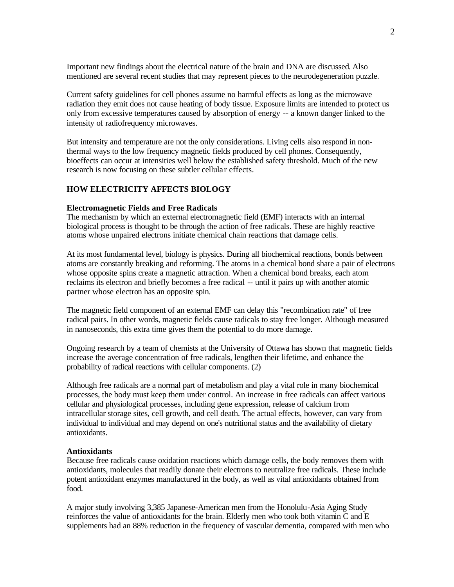Important new findings about the electrical nature of the brain and DNA are discussed. Also mentioned are several recent studies that may represent pieces to the neurodegeneration puzzle.

Current safety guidelines for cell phones assume no harmful effects as long as the microwave radiation they emit does not cause heating of body tissue. Exposure limits are intended to protect us only from excessive temperatures caused by absorption of energy -- a known danger linked to the intensity of radiofrequency microwaves.

But intensity and temperature are not the only considerations. Living cells also respond in nonthermal ways to the low frequency magnetic fields produced by cell phones. Consequently, bioeffects can occur at intensities well below the established safety threshold. Much of the new research is now focusing on these subtler cellular effects.

# **HOW ELECTRICITY AFFECTS BIOLOGY**

## **Electromagnetic Fields and Free Radicals**

The mechanism by which an external electromagnetic field (EMF) interacts with an internal biological process is thought to be through the action of free radicals. These are highly reactive atoms whose unpaired electrons initiate chemical chain reactions that damage cells.

At its most fundamental level, biology is physics. During all biochemical reactions, bonds between atoms are constantly breaking and reforming. The atoms in a chemical bond share a pair of electrons whose opposite spins create a magnetic attraction. When a chemical bond breaks, each atom reclaims its electron and briefly becomes a free radical -- until it pairs up with another atomic partner whose electron has an opposite spin.

The magnetic field component of an external EMF can delay this "recombination rate" of free radical pairs. In other words, magnetic fields cause radicals to stay free longer. Although measured in nanoseconds, this extra time gives them the potential to do more damage.

Ongoing research by a team of chemists at the University of Ottawa has shown that magnetic fields increase the average concentration of free radicals, lengthen their lifetime, and enhance the probability of radical reactions with cellular components. (2)

Although free radicals are a normal part of metabolism and play a vital role in many biochemical processes, the body must keep them under control. An increase in free radicals can affect various cellular and physiological processes, including gene expression, release of calcium from intracellular storage sites, cell growth, and cell death. The actual effects, however, can vary from individual to individual and may depend on one's nutritional status and the availability of dietary antioxidants.

#### **Antioxidants**

Because free radicals cause oxidation reactions which damage cells, the body removes them with antioxidants, molecules that readily donate their electrons to neutralize free radicals. These include potent antioxidant enzymes manufactured in the body, as well as vital antioxidants obtained from food.

A major study involving 3,385 Japanese-American men from the Honolulu-Asia Aging Study reinforces the value of antioxidants for the brain. Elderly men who took both vitamin C and E supplements had an 88% reduction in the frequency of vascular dementia, compared with men who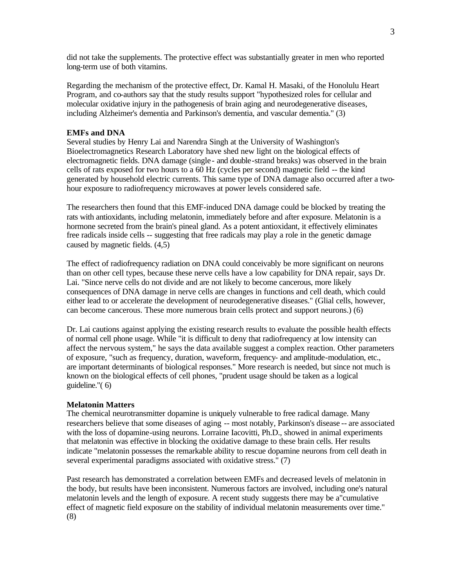did not take the supplements. The protective effect was substantially greater in men who reported long-term use of both vitamins.

Regarding the mechanism of the protective effect, Dr. Kamal H. Masaki, of the Honolulu Heart Program, and co-authors say that the study results support "hypothesized roles for cellular and molecular oxidative injury in the pathogenesis of brain aging and neurodegenerative diseases, including Alzheimer's dementia and Parkinson's dementia, and vascular dementia." (3)

# **EMFs and DNA**

Several studies by Henry Lai and Narendra Singh at the University of Washington's Bioelectromagnetics Research Laboratory have shed new light on the biological effects of electromagnetic fields. DNA damage (single - and double-strand breaks) was observed in the brain cells of rats exposed for two hours to a 60 Hz (cycles per second) magnetic field -- the kind generated by household electric currents. This same type of DNA damage also occurred after a twohour exposure to radiofrequency microwaves at power levels considered safe.

The researchers then found that this EMF-induced DNA damage could be blocked by treating the rats with antioxidants, including melatonin, immediately before and after exposure. Melatonin is a hormone secreted from the brain's pineal gland. As a potent antioxidant, it effectively eliminates free radicals inside cells -- suggesting that free radicals may play a role in the genetic damage caused by magnetic fields. (4,5)

The effect of radiofrequency radiation on DNA could conceivably be more significant on neurons than on other cell types, because these nerve cells have a low capability for DNA repair, says Dr. Lai. "Since nerve cells do not divide and are not likely to become cancerous, more likely consequences of DNA damage in nerve cells are changes in functions and cell death, which could either lead to or accelerate the development of neurodegenerative diseases." (Glial cells, however, can become cancerous. These more numerous brain cells protect and support neurons.) (6)

Dr. Lai cautions against applying the existing research results to evaluate the possible health effects of normal cell phone usage. While "it is difficult to deny that radiofrequency at low intensity can affect the nervous system," he says the data available suggest a complex reaction. Other parameters of exposure, "such as frequency, duration, waveform, frequency- and amplitude-modulation, etc., are important determinants of biological responses." More research is needed, but since not much is known on the biological effects of cell phones, "prudent usage should be taken as a logical guideline."( 6)

## **Melatonin Matters**

The chemical neurotransmitter dopamine is uniquely vulnerable to free radical damage. Many researchers believe that some diseases of aging -- most notably, Parkinson's disease -- are associated with the loss of dopamine-using neurons. Lorraine Iacovitti, Ph.D., showed in animal experiments that melatonin was effective in blocking the oxidative damage to these brain cells. Her results indicate "melatonin possesses the remarkable ability to rescue dopamine neurons from cell death in several experimental paradigms associated with oxidative stress." (7)

Past research has demonstrated a correlation between EMFs and decreased levels of melatonin in the body, but results have been inconsistent. Numerous factors are involved, including one's natural melatonin levels and the length of exposure. A recent study suggests there may be a"cumulative effect of magnetic field exposure on the stability of individual melatonin measurements over time." (8)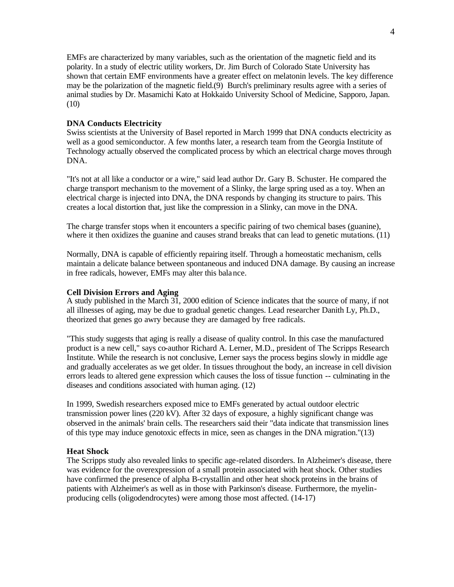EMFs are characterized by many variables, such as the orientation of the magnetic field and its polarity. In a study of electric utility workers, Dr. Jim Burch of Colorado State University has shown that certain EMF environments have a greater effect on melatonin levels. The key difference may be the polarization of the magnetic field.(9) Burch's preliminary results agree with a series of animal studies by Dr. Masamichi Kato at Hokkaido University School of Medicine, Sapporo, Japan. (10)

# **DNA Conducts Electricity**

Swiss scientists at the University of Basel reported in March 1999 that DNA conducts electricity as well as a good semiconductor. A few months later, a research team from the Georgia Institute of Technology actually observed the complicated process by which an electrical charge moves through DNA.

"It's not at all like a conductor or a wire," said lead author Dr. Gary B. Schuster. He compared the charge transport mechanism to the movement of a Slinky, the large spring used as a toy. When an electrical charge is injected into DNA, the DNA responds by changing its structure to pairs. This creates a local distortion that, just like the compression in a Slinky, can move in the DNA.

The charge transfer stops when it encounters a specific pairing of two chemical bases (guanine), where it then oxidizes the guanine and causes strand breaks that can lead to genetic mutations. (11)

Normally, DNA is capable of efficiently repairing itself. Through a homeostatic mechanism, cells maintain a delicate balance between spontaneous and induced DNA damage. By causing an increase in free radicals, however, EMFs may alter this balance.

## **Cell Division Errors and Aging**

A study published in the March 31, 2000 edition of Science indicates that the source of many, if not all illnesses of aging, may be due to gradual genetic changes. Lead researcher Danith Ly, Ph.D., theorized that genes go awry because they are damaged by free radicals.

"This study suggests that aging is really a disease of quality control. In this case the manufactured product is a new cell," says co-author Richard A. Lerner, M.D., president of The Scripps Research Institute. While the research is not conclusive, Lerner says the process begins slowly in middle age and gradually accelerates as we get older. In tissues throughout the body, an increase in cell division errors leads to altered gene expression which causes the loss of tissue function -- culminating in the diseases and conditions associated with human aging. (12)

In 1999, Swedish researchers exposed mice to EMFs generated by actual outdoor electric transmission power lines (220 kV). After 32 days of exposure, a highly significant change was observed in the animals' brain cells. The researchers said their "data indicate that transmission lines of this type may induce genotoxic effects in mice, seen as changes in the DNA migration."(13)

# **Heat Shock**

The Scripps study also revealed links to specific age-related disorders. In Alzheimer's disease, there was evidence for the overexpression of a small protein associated with heat shock. Other studies have confirmed the presence of alpha B-crystallin and other heat shock proteins in the brains of patients with Alzheimer's as well as in those with Parkinson's disease. Furthermore, the myelinproducing cells (oligodendrocytes) were among those most affected. (14-17)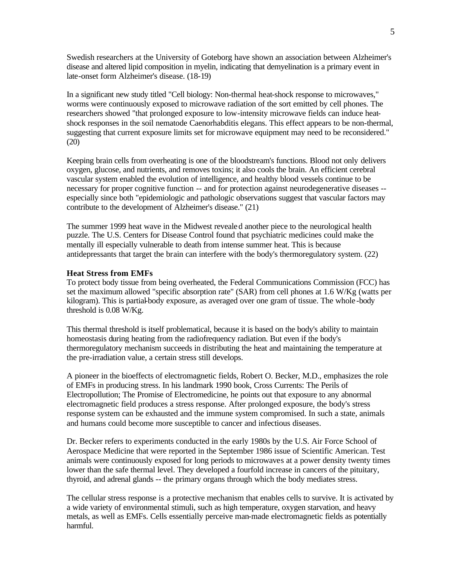Swedish researchers at the University of Goteborg have shown an association between Alzheimer's disease and altered lipid composition in myelin, indicating that demyelination is a primary event in late-onset form Alzheimer's disease. (18-19)

In a significant new study titled "Cell biology: Non-thermal heat-shock response to microwaves," worms were continuously exposed to microwave radiation of the sort emitted by cell phones. The researchers showed "that prolonged exposure to low-intensity microwave fields can induce heatshock responses in the soil nematode Caenorhabditis elegans. This effect appears to be non-thermal, suggesting that current exposure limits set for microwave equipment may need to be reconsidered." (20)

Keeping brain cells from overheating is one of the bloodstream's functions. Blood not only delivers oxygen, glucose, and nutrients, and removes toxins; it also cools the brain. An efficient cerebral vascular system enabled the evolution of intelligence, and healthy blood vessels continue to be necessary for proper cognitive function -- and for protection against neurodegenerative diseases - especially since both "epidemiologic and pathologic observations suggest that vascular factors may contribute to the development of Alzheimer's disease." (21)

The summer 1999 heat wave in the Midwest revealed another piece to the neurological health puzzle. The U.S. Centers for Disease Control found that psychiatric medicines could make the mentally ill especially vulnerable to death from intense summer heat. This is because antidepressants that target the brain can interfere with the body's thermoregulatory system. (22)

## **Heat Stress from EMFs**

To protect body tissue from being overheated, the Federal Communications Commission (FCC) has set the maximum allowed "specific absorption rate" (SAR) from cell phones at 1.6 W/Kg (watts per kilogram). This is partial-body exposure, as averaged over one gram of tissue. The whole -body threshold is 0.08 W/Kg.

This thermal threshold is itself problematical, because it is based on the body's ability to maintain homeostasis during heating from the radiofrequency radiation. But even if the body's thermoregulatory mechanism succeeds in distributing the heat and maintaining the temperature at the pre-irradiation value, a certain stress still develops.

A pioneer in the bioeffects of electromagnetic fields, Robert O. Becker, M.D., emphasizes the role of EMFs in producing stress. In his landmark 1990 book, Cross Currents: The Perils of Electropollution; The Promise of Electromedicine, he points out that exposure to any abnormal electromagnetic field produces a stress response. After prolonged exposure, the body's stress response system can be exhausted and the immune system compromised. In such a state, animals and humans could become more susceptible to cancer and infectious diseases.

Dr. Becker refers to experiments conducted in the early 1980s by the U.S. Air Force School of Aerospace Medicine that were reported in the September 1986 issue of Scientific American. Test animals were continuously exposed for long periods to microwaves at a power density twenty times lower than the safe thermal level. They developed a fourfold increase in cancers of the pituitary, thyroid, and adrenal glands -- the primary organs through which the body mediates stress.

The cellular stress response is a protective mechanism that enables cells to survive. It is activated by a wide variety of environmental stimuli, such as high temperature, oxygen starvation, and heavy metals, as well as EMFs. Cells essentially perceive man-made electromagnetic fields as potentially harmful.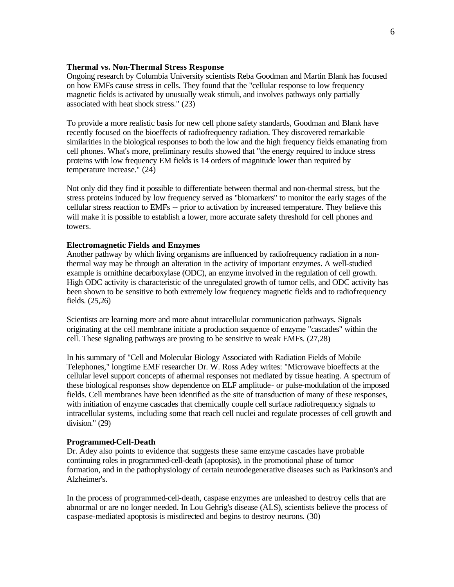# **Thermal vs. Non-Thermal Stress Response**

Ongoing research by Columbia University scientists Reba Goodman and Martin Blank has focused on how EMFs cause stress in cells. They found that the "cellular response to low frequency magnetic fields is activated by unusually weak stimuli, and involves pathways only partially associated with heat shock stress." (23)

To provide a more realistic basis for new cell phone safety standards, Goodman and Blank have recently focused on the bioeffects of radiofrequency radiation. They discovered remarkable similarities in the biological responses to both the low and the high frequency fields emanating from cell phones. What's more, preliminary results showed that "the energy required to induce stress proteins with low frequency EM fields is 14 orders of magnitude lower than required by temperature increase." (24)

Not only did they find it possible to differentiate between thermal and non-thermal stress, but the stress proteins induced by low frequency served as "biomarkers" to monitor the early stages of the cellular stress reaction to EMFs -- prior to activation by increased temperature. They believe this will make it is possible to establish a lower, more accurate safety threshold for cell phones and towers.

# **Electromagnetic Fields and Enzymes**

Another pathway by which living organisms are influenced by radiofrequency radiation in a nonthermal way may be through an alteration in the activity of important enzymes. A well-studied example is ornithine decarboxylase (ODC), an enzyme involved in the regulation of cell growth. High ODC activity is characteristic of the unregulated growth of tumor cells, and ODC activity has been shown to be sensitive to both extremely low frequency magnetic fields and to radiofrequency fields. (25,26)

Scientists are learning more and more about intracellular communication pathways. Signals originating at the cell membrane initiate a production sequence of enzyme "cascades" within the cell. These signaling pathways are proving to be sensitive to weak EMFs. (27,28)

In his summary of "Cell and Molecular Biology Associated with Radiation Fields of Mobile Telephones," longtime EMF researcher Dr. W. Ross Adey writes: "Microwave bioeffects at the cellular level support concepts of athermal responses not mediated by tissue heating. A spectrum of these biological responses show dependence on ELF amplitude- or pulse-modulation of the imposed fields. Cell membranes have been identified as the site of transduction of many of these responses, with initiation of enzyme cascades that chemically couple cell surface radiofrequency signals to intracellular systems, including some that reach cell nuclei and regulate processes of cell growth and division." (29)

#### **Programmed-Cell-Death**

Dr. Adey also points to evidence that suggests these same enzyme cascades have probable continuing roles in programmed-cell-death (apoptosis), in the promotional phase of tumor formation, and in the pathophysiology of certain neurodegenerative diseases such as Parkinson's and Alzheimer's.

In the process of programmed-cell-death, caspase enzymes are unleashed to destroy cells that are abnormal or are no longer needed. In Lou Gehrig's disease (ALS), scientists believe the process of caspase-mediated apoptosis is misdirected and begins to destroy neurons. (30)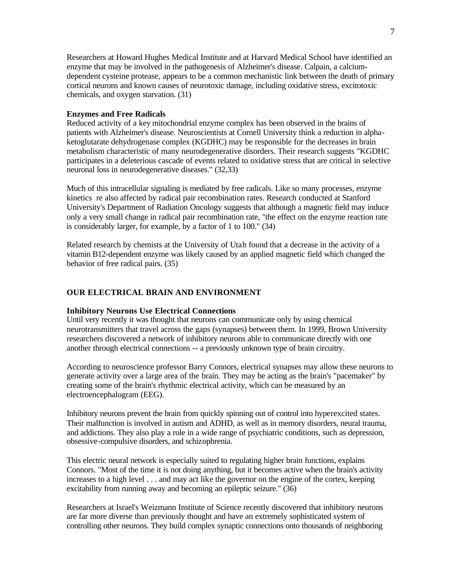Researchers at Howard Hughes Medical Institute and at Harvard Medical School have identified an enzyme that may be involved in the pathogenesis of Alzheimer's disease. Calpain, a calciumdependent cysteine protease, appears to be a common mechanistic link between the death of primary cortical neurons and known causes of neurotoxic damage, including oxidative stress, excitotoxic chemicals, and oxygen starvation. (31)

# **Enzymes and Free Radicals**

Reduced activity of a key mitochondrial enzyme complex has been observed in the brains of patients with Alzheimer's disease. Neuroscientists at Cornell University think a reduction in alphaketoglutarate dehydrogenase complex (KGDHC) may be responsible for the decreases in brain metabolism characteristic of many neurodegenerative disorders. Their research suggests "KGDHC participates in a deleterious cascade of events related to oxidative stress that are critical in selective neuronal loss in neurodegenerative diseases." (32,33)

Much of this intracellular signaling is mediated by free radicals. Like so many processes, enzyme kinetics re also affected by radical pair recombination rates. Research conducted at Stanford University's Department of Radiation Oncology suggests that although a magnetic field may induce only a very small change in radical pair recombination rate, "the effect on the enzyme reaction rate is considerably larger, for example, by a factor of 1 to 100." (34)

Related research by chemists at the University of Utah found that a decrease in the activity of a vitamin B12-dependent enzyme was likely caused by an applied magnetic field which changed the behavior of free radical pairs. (35)

# **OUR ELECTRICAL BRAIN AND ENVIRONMENT**

## **Inhibitory Neurons Use Electrical Connections**

Until very recently it was thought that neurons can communicate only by using chemical neurotransmitters that travel across the gaps (synapses) between them. In 1999, Brown University researchers discovered a network of inhibitory neurons able to communicate directly with one another through electrical connections -- a previously unknown type of brain circuitry.

According to neuroscience professor Barry Connors, electrical synapses may allow these neurons to generate activity over a large area of the brain. They may be acting as the brain's "pacemaker" by creating some of the brain's rhythmic electrical activity, which can be measured by an electroencephalogram (EEG).

Inhibitory neurons prevent the brain from quickly spinning out of control into hyperexcited states. Their malfunction is involved in autism and ADHD, as well as in memory disorders, neural trauma, and addictions. They also play a role in a wide range of psychiatric conditions, such as depression, obsessive-compulsive disorders, and schizophrenia.

This electric neural network is especially suited to regulating higher brain functions, explains Connors. "Most of the time it is not doing anything, but it becomes active when the brain's activity increases to a high level . . . and may act like the governor on the engine of the cortex, keeping excitability from running away and becoming an epileptic seizure." (36)

Researchers at Israel's Weizmann Institute of Science recently discovered that inhibitory neurons are far more diverse than previously thought and have an extremely sophisticated system of controlling other neurons. They build complex synaptic connections onto thousands of neighboring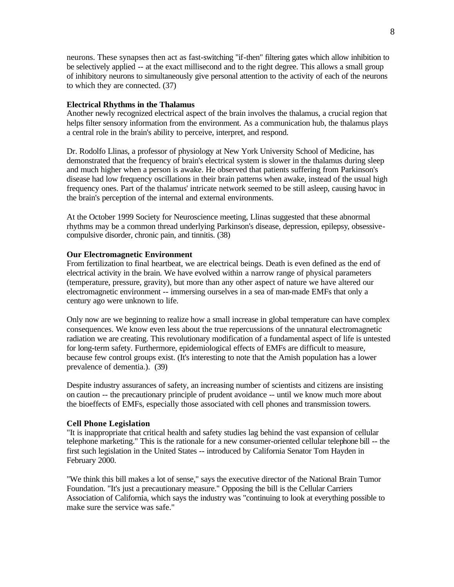neurons. These synapses then act as fast-switching "if-then" filtering gates which allow inhibition to be selectively applied -- at the exact millisecond and to the right degree. This allows a small group of inhibitory neurons to simultaneously give personal attention to the activity of each of the neurons to which they are connected. (37)

# **Electrical Rhythms in the Thalamus**

Another newly recognized electrical aspect of the brain involves the thalamus, a crucial region that helps filter sensory information from the environment. As a communication hub, the thalamus plays a central role in the brain's ability to perceive, interpret, and respond.

Dr. Rodolfo Llinas, a professor of physiology at New York University School of Medicine, has demonstrated that the frequency of brain's electrical system is slower in the thalamus during sleep and much higher when a person is awake. He observed that patients suffering from Parkinson's disease had low frequency oscillations in their brain patterns when awake, instead of the usual high frequency ones. Part of the thalamus' intricate network seemed to be still asleep, causing havoc in the brain's perception of the internal and external environments.

At the October 1999 Society for Neuroscience meeting, Llinas suggested that these abnormal rhythms may be a common thread underlying Parkinson's disease, depression, epilepsy, obsessivecompulsive disorder, chronic pain, and tinnitis. (38)

# **Our Electromagnetic Environment**

From fertilization to final heartbeat, we are electrical beings. Death is even defined as the end of electrical activity in the brain. We have evolved within a narrow range of physical parameters (temperature, pressure, gravity), but more than any other aspect of nature we have altered our electromagnetic environment -- immersing ourselves in a sea of man-made EMFs that only a century ago were unknown to life.

Only now are we beginning to realize how a small increase in global temperature can have complex consequences. We know even less about the true repercussions of the unnatural electromagnetic radiation we are creating. This revolutionary modification of a fundamental aspect of life is untested for long-term safety. Furthermore, epidemiological effects of EMFs are difficult to measure, because few control groups exist. (It's interesting to note that the Amish population has a lower prevalence of dementia.). (39)

Despite industry assurances of safety, an increasing number of scientists and citizens are insisting on caution -- the precautionary principle of prudent avoidance -- until we know much more about the bioeffects of EMFs, especially those associated with cell phones and transmission towers.

## **Cell Phone Legislation**

"It is inappropriate that critical health and safety studies lag behind the vast expansion of cellular telephone marketing." This is the rationale for a new consumer-oriented cellular telephone bill -- the first such legislation in the United States -- introduced by California Senator Tom Hayden in February 2000.

"We think this bill makes a lot of sense," says the executive director of the National Brain Tumor Foundation. "It's just a precautionary measure." Opposing the bill is the Cellular Carriers Association of California, which says the industry was "continuing to look at everything possible to make sure the service was safe."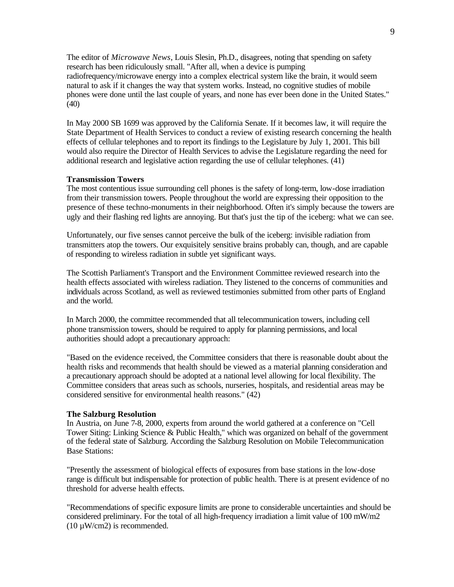The editor of *Microwave News*, Louis Slesin, Ph.D., disagrees, noting that spending on safety research has been ridiculously small. "After all, when a device is pumping radiofrequency/microwave energy into a complex electrical system like the brain, it would seem natural to ask if it changes the way that system works. Instead, no cognitive studies of mobile phones were done until the last couple of years, and none has ever been done in the United States." (40)

In May 2000 SB 1699 was approved by the California Senate. If it becomes law, it will require the State Department of Health Services to conduct a review of existing research concerning the health effects of cellular telephones and to report its findings to the Legislature by July 1, 2001. This bill would also require the Director of Health Services to advise the Legislature regarding the need for additional research and legislative action regarding the use of cellular telephones. (41)

# **Transmission Towers**

The most contentious issue surrounding cell phones is the safety of long-term, low-dose irradiation from their transmission towers. People throughout the world are expressing their opposition to the presence of these techno-monuments in their neighborhood. Often it's simply because the towers are ugly and their flashing red lights are annoying. But that's just the tip of the iceberg: what we can see.

Unfortunately, our five senses cannot perceive the bulk of the iceberg: invisible radiation from transmitters atop the towers. Our exquisitely sensitive brains probably can, though, and are capable of responding to wireless radiation in subtle yet significant ways.

The Scottish Parliament's Transport and the Environment Committee reviewed research into the health effects associated with wireless radiation. They listened to the concerns of communities and individuals across Scotland, as well as reviewed testimonies submitted from other parts of England and the world.

In March 2000, the committee recommended that all telecommunication towers, including cell phone transmission towers, should be required to apply for planning permissions, and local authorities should adopt a precautionary approach:

"Based on the evidence received, the Committee considers that there is reasonable doubt about the health risks and recommends that health should be viewed as a material planning consideration and a precautionary approach should be adopted at a national level allowing for local flexibility. The Committee considers that areas such as schools, nurseries, hospitals, and residential areas may be considered sensitive for environmental health reasons." (42)

## **The Salzburg Resolution**

In Austria, on June 7-8, 2000, experts from around the world gathered at a conference on "Cell Tower Siting: Linking Science & Public Health," which was organized on behalf of the government of the federal state of Salzburg. According the Salzburg Resolution on Mobile Telecommunication Base Stations:

"Presently the assessment of biological effects of exposures from base stations in the low-dose range is difficult but indispensable for protection of public health. There is at present evidence of no threshold for adverse health effects.

"Recommendations of specific exposure limits are prone to considerable uncertainties and should be considered preliminary. For the total of all high-frequency irradiation a limit value of 100 mW/m2  $(10 \mu W/cm2)$  is recommended.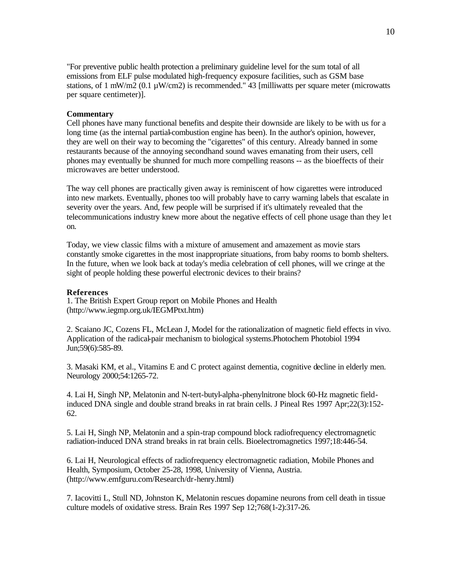"For preventive public health protection a preliminary guideline level for the sum total of all emissions from ELF pulse modulated high-frequency exposure facilities, such as GSM base stations, of 1 mW/m2 (0.1  $\mu$ W/cm2) is recommended." 43 [milliwatts per square meter (microwatts per square centimeter)].

## **Commentary**

Cell phones have many functional benefits and despite their downside are likely to be with us for a long time (as the internal partial-combustion engine has been). In the author's opinion, however, they are well on their way to becoming the "cigarettes" of this century. Already banned in some restaurants because of the annoying secondhand sound waves emanating from their users, cell phones may eventually be shunned for much more compelling reasons -- as the bioeffects of their microwaves are better understood.

The way cell phones are practically given away is reminiscent of how cigarettes were introduced into new markets. Eventually, phones too will probably have to carry warning labels that escalate in severity over the years. And, few people will be surprised if it's ultimately revealed that the telecommunications industry knew more about the negative effects of cell phone usage than they le t on.

Today, we view classic films with a mixture of amusement and amazement as movie stars constantly smoke cigarettes in the most inappropriate situations, from baby rooms to bomb shelters. In the future, when we look back at today's media celebration of cell phones, will we cringe at the sight of people holding these powerful electronic devices to their brains?

# **References**

1. The British Expert Group report on Mobile Phones and Health (http://www.iegmp.org.uk/IEGMPtxt.htm)

2. Scaiano JC, Cozens FL, McLean J, Model for the rationalization of magnetic field effects in vivo. Application of the radical-pair mechanism to biological systems.Photochem Photobiol 1994 Jun;59(6):585-89.

3. Masaki KM, et al., Vitamins E and C protect against dementia, cognitive decline in elderly men. Neurology 2000;54:1265-72.

4. Lai H, Singh NP, Melatonin and N-tert-butyl-alpha-phenylnitrone block 60-Hz magnetic fieldinduced DNA single and double strand breaks in rat brain cells. J Pineal Res 1997 Apr;22(3):152- 62.

5. Lai H, Singh NP, Melatonin and a spin-trap compound block radiofrequency electromagnetic radiation-induced DNA strand breaks in rat brain cells. Bioelectromagnetics 1997;18:446-54.

6. Lai H, Neurological effects of radiofrequency electromagnetic radiation, Mobile Phones and Health, Symposium, October 25-28, 1998, University of Vienna, Austria. (http://www.emfguru.com/Research/dr-henry.html)

7. Iacovitti L, Stull ND, Johnston K, Melatonin rescues dopamine neurons from cell death in tissue culture models of oxidative stress. Brain Res 1997 Sep 12;768(1-2):317-26.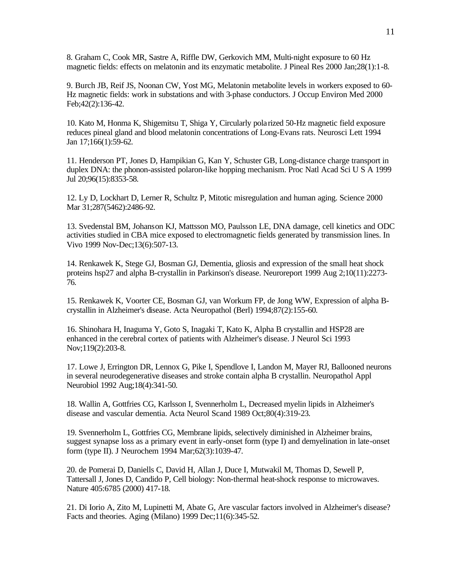8. Graham C, Cook MR, Sastre A, Riffle DW, Gerkovich MM, Multi-night exposure to 60 Hz magnetic fields: effects on melatonin and its enzymatic metabolite. J Pineal Res 2000 Jan;28(1):1-8.

9. Burch JB, Reif JS, Noonan CW, Yost MG, Melatonin metabolite levels in workers exposed to 60- Hz magnetic fields: work in substations and with 3-phase conductors. J Occup Environ Med 2000 Feb;42(2):136-42.

10. Kato M, Honma K, Shigemitsu T, Shiga Y, Circularly polarized 50-Hz magnetic field exposure reduces pineal gland and blood melatonin concentrations of Long-Evans rats. Neurosci Lett 1994 Jan 17;166(1):59-62.

11. Henderson PT, Jones D, Hampikian G, Kan Y, Schuster GB, Long-distance charge transport in duplex DNA: the phonon-assisted polaron-like hopping mechanism. Proc Natl Acad Sci U S A 1999 Jul 20;96(15):8353-58.

12. Ly D, Lockhart D, Lerner R, Schultz P, Mitotic misregulation and human aging. Science 2000 Mar 31;287(5462):2486-92.

13. Svedenstal BM, Johanson KJ, Mattsson MO, Paulsson LE, DNA damage, cell kinetics and ODC activities studied in CBA mice exposed to electromagnetic fields generated by transmission lines. In Vivo 1999 Nov-Dec;13(6):507-13.

14. Renkawek K, Stege GJ, Bosman GJ, Dementia, gliosis and expression of the small heat shock proteins hsp27 and alpha B-crystallin in Parkinson's disease. Neuroreport 1999 Aug 2;10(11):2273- 76.

15. Renkawek K, Voorter CE, Bosman GJ, van Workum FP, de Jong WW, Expression of alpha Bcrystallin in Alzheimer's disease. Acta Neuropathol (Berl) 1994;87(2):155-60.

16. Shinohara H, Inaguma Y, Goto S, Inagaki T, Kato K, Alpha B crystallin and HSP28 are enhanced in the cerebral cortex of patients with Alzheimer's disease. J Neurol Sci 1993 Nov;119(2):203-8.

17. Lowe J, Errington DR, Lennox G, Pike I, Spendlove I, Landon M, Mayer RJ, Ballooned neurons in several neurodegenerative diseases and stroke contain alpha B crystallin. Neuropathol Appl Neurobiol 1992 Aug;18(4):341-50.

18. Wallin A, Gottfries CG, Karlsson I, Svennerholm L, Decreased myelin lipids in Alzheimer's disease and vascular dementia. Acta Neurol Scand 1989 Oct;80(4):319-23.

19. Svennerholm L, Gottfries CG, Membrane lipids, selectively diminished in Alzheimer brains, suggest synapse loss as a primary event in early-onset form (type I) and demyelination in late-onset form (type II). J Neurochem 1994 Mar;62(3):1039-47.

20. de Pomerai D, Daniells C, David H, Allan J, Duce I, Mutwakil M, Thomas D, Sewell P, Tattersall J, Jones D, Candido P, Cell biology: Non-thermal heat-shock response to microwaves. Nature 405:6785 (2000) 417-18.

21. Di Iorio A, Zito M, Lupinetti M, Abate G, Are vascular factors involved in Alzheimer's disease? Facts and theories. Aging (Milano) 1999 Dec;11(6):345-52.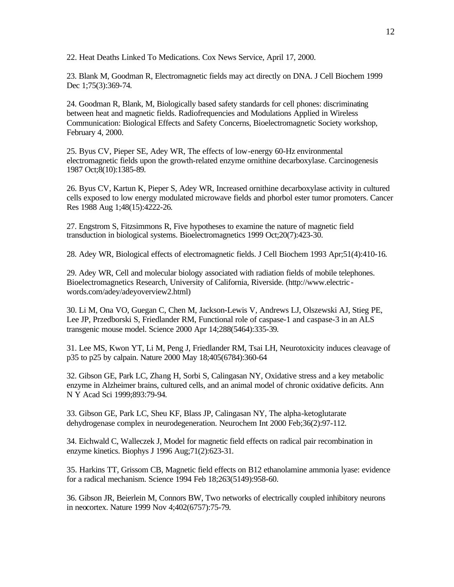22. Heat Deaths Linked To Medications. Cox News Service, April 17, 2000.

23. Blank M, Goodman R, Electromagnetic fields may act directly on DNA. J Cell Biochem 1999 Dec 1;75(3):369-74.

24. Goodman R, Blank, M, Biologically based safety standards for cell phones: discriminating between heat and magnetic fields. Radiofrequencies and Modulations Applied in Wireless Communication: Biological Effects and Safety Concerns, Bioelectromagnetic Society workshop, February 4, 2000.

25. Byus CV, Pieper SE, Adey WR, The effects of low-energy 60-Hz environmental electromagnetic fields upon the growth-related enzyme ornithine decarboxylase. Carcinogenesis 1987 Oct;8(10):1385-89.

26. Byus CV, Kartun K, Pieper S, Adey WR, Increased ornithine decarboxylase activity in cultured cells exposed to low energy modulated microwave fields and phorbol ester tumor promoters. Cancer Res 1988 Aug 1;48(15):4222-26.

27. Engstrom S, Fitzsimmons R, Five hypotheses to examine the nature of magnetic field transduction in biological systems. Bioelectromagnetics 1999 Oct;20(7):423-30.

28. Adey WR, Biological effects of electromagnetic fields. J Cell Biochem 1993 Apr;51(4):410-16.

29. Adey WR, Cell and molecular biology associated with radiation fields of mobile telephones. Bioelectromagnetics Research, University of California, Riverside. (http://www.electric words.com/adey/adeyoverview2.html)

30. Li M, Ona VO, Guegan C, Chen M, Jackson-Lewis V, Andrews LJ, Olszewski AJ, Stieg PE, Lee JP, Przedborski S, Friedlander RM, Functional role of caspase-1 and caspase-3 in an ALS transgenic mouse model. Science 2000 Apr 14;288(5464):335-39.

31. Lee MS, Kwon YT, Li M, Peng J, Friedlander RM, Tsai LH, Neurotoxicity induces cleavage of p35 to p25 by calpain. Nature 2000 May 18;405(6784):360-64

32. Gibson GE, Park LC, Zhang H, Sorbi S, Calingasan NY, Oxidative stress and a key metabolic enzyme in Alzheimer brains, cultured cells, and an animal model of chronic oxidative deficits. Ann N Y Acad Sci 1999;893:79-94.

33. Gibson GE, Park LC, Sheu KF, Blass JP, Calingasan NY, The alpha-ketoglutarate dehydrogenase complex in neurodegeneration. Neurochem Int 2000 Feb;36(2):97-112.

34. Eichwald C, Walleczek J, Model for magnetic field effects on radical pair recombination in enzyme kinetics. Biophys J 1996 Aug;71(2):623-31.

35. Harkins TT, Grissom CB, Magnetic field effects on B12 ethanolamine ammonia lyase: evidence for a radical mechanism. Science 1994 Feb 18;263(5149):958-60.

36. Gibson JR, Beierlein M, Connors BW, Two networks of electrically coupled inhibitory neurons in neocortex. Nature 1999 Nov 4;402(6757):75-79.